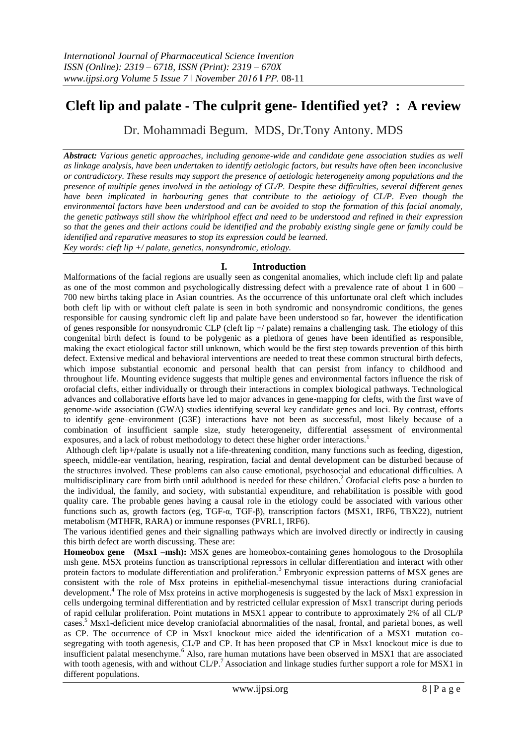## **Cleft lip and palate - The culprit gene- Identified yet? : A review**

Dr. Mohammadi Begum. MDS, Dr.Tony Antony. MDS

*Abstract: Various genetic approaches, including genome-wide and candidate gene association studies as well as linkage analysis, have been undertaken to identify aetiologic factors, but results have often been inconclusive or contradictory. These results may support the presence of aetiologic heterogeneity among populations and the presence of multiple genes involved in the aetiology of CL/P. Despite these difficulties, several different genes have been implicated in harbouring genes that contribute to the aetiology of CL/P. Even though the environmental factors have been understood and can be avoided to stop the formation of this facial anomaly, the genetic pathways still show the whirlphool effect and need to be understood and refined in their expression so that the genes and their actions could be identified and the probably existing single gene or family could be identified and reparative measures to stop its expression could be learned. Key words: cleft lip +/ palate, genetics, nonsyndromic, etiology.*

## **I. Introduction**

Malformations of the facial regions are usually seen as congenital anomalies, which include cleft lip and palate as one of the most common and psychologically distressing defect with a prevalence rate of about 1 in 600 – 700 new births taking place in Asian countries. As the occurrence of this unfortunate oral cleft which includes both cleft lip with or without cleft palate is seen in both syndromic and nonsyndromic conditions, the genes responsible for causing syndromic cleft lip and palate have been understood so far, however the identification of genes responsible for nonsyndromic CLP (cleft lip +/ palate) remains a challenging task. The etiology of this congenital birth defect is found to be polygenic as a plethora of genes have been identified as responsible, making the exact etiological factor still unknown, which would be the first step towards prevention of this birth defect. Extensive medical and behavioral interventions are needed to treat these common structural birth defects, which impose substantial economic and personal health that can persist from infancy to childhood and throughout life. Mounting evidence suggests that multiple genes and environmental factors influence the risk of orofacial clefts, either individually or through their interactions in complex biological pathways. Technological advances and collaborative efforts have led to major advances in gene-mapping for clefts, with the first wave of genome-wide association (GWA) studies identifying several key candidate genes and loci. By contrast, efforts to identify gene–environment (G3E) interactions have not been as successful, most likely because of a combination of insufficient sample size, study heterogeneity, differential assessment of environmental exposures, and a lack of robust methodology to detect these higher order interactions.<sup>1</sup>

Although cleft lip+/palate is usually not a life-threatening condition, many functions such as feeding, digestion, speech, middle-ear ventilation, hearing, respiration, facial and dental development can be disturbed because of the structures involved. These problems can also cause emotional, psychosocial and educational difficulties. A multidisciplinary care from birth until adulthood is needed for these children.<sup>2</sup> Orofacial clefts pose a burden to the individual, the family, and society, with substantial expenditure, and rehabilitation is possible with good quality care. The probable genes having a causal role in the etiology could be associated with various other functions such as, growth factors (eg, TGF-α, TGF-β), transcription factors (MSX1, IRF6, TBX22), nutrient metabolism (MTHFR, RARA) or immune responses (PVRL1, IRF6).

The various identified genes and their signalling pathways which are involved directly or indirectly in causing this birth defect are worth discussing. These are:

**Homeobox gene (Msx1 –msh):** MSX genes are homeobox-containing genes homologous to the Drosophila msh gene. MSX proteins function as transcriptional repressors in cellular differentiation and interact with other protein factors to modulate differentiation and proliferation.<sup>3</sup> Embryonic expression patterns of MSX genes are consistent with the role of Msx proteins in epithelial-mesenchymal tissue interactions during craniofacial development.<sup>4</sup> The role of Msx proteins in active morphogenesis is suggested by the lack of Msx1 expression in cells undergoing terminal differentiation and by restricted cellular expression of Msx1 transcript during periods of rapid cellular proliferation. Point mutations in MSX1 appear to contribute to approximately 2% of all CL/P cases.<sup>5</sup> Msx1-deficient mice develop craniofacial abnormalities of the nasal, frontal, and parietal bones, as well as CP. The occurrence of CP in Msx1 knockout mice aided the identification of a MSX1 mutation cosegregating with tooth agenesis, CL/P and CP. It has been proposed that CP in Msx1 knockout mice is due to insufficient palatal mesenchyme.<sup>6</sup> Also, rare human mutations have been observed in MSX1 that are associated with tooth agenesis, with and without CL/P.<sup>7</sup> Association and linkage studies further support a role for MSX1 in different populations.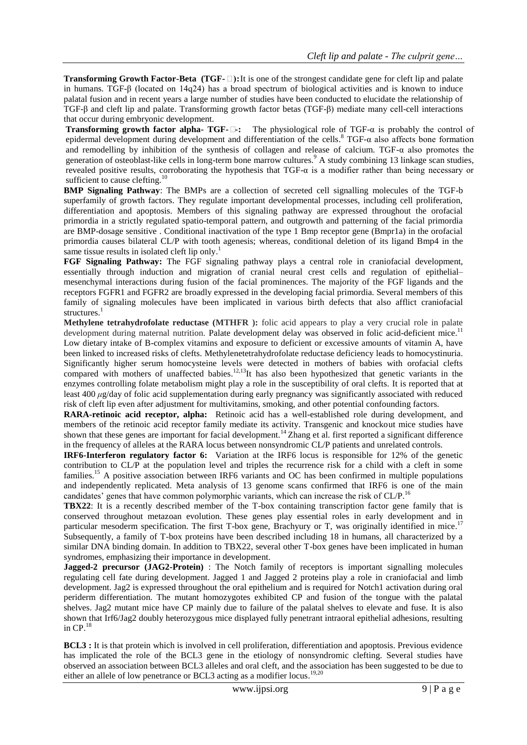**Transforming Growth Factor-Beta (TGF-□):** It is one of the strongest candidate gene for cleft lip and palate in humans. TGF- $\beta$  (located on 14q24) has a broad spectrum of biological activities and is known to induce palatal fusion and in recent years a large number of studies have been conducted to elucidate the relationship of TGF-β and cleft lip and palate. Transforming growth factor betas (TGF-β) mediate many cell-cell interactions that occur during embryonic development.

**Transforming growth factor alpha- TGF-β-:** The physiological role of TGF-α is probably the control of epidermal development during development and differentiation of the cells. <sup>8</sup> TGF-α also affects bone formation and remodelling by inhibition of the synthesis of collagen and release of calcium. TGF- $\alpha$  also promotes the generation of osteoblast-like cells in long-term bone marrow cultures.<sup>9</sup> A study combining 13 linkage scan studies, revealed positive results, corroborating the hypothesis that TGF-α is a modifier rather than being necessary or sufficient to cause clefting.<sup>10</sup>

**BMP Signaling Pathway**: The BMPs are a collection of secreted cell signalling molecules of the TGF-b superfamily of growth factors. They regulate important developmental processes, including cell proliferation, differentiation and apoptosis. Members of this signaling pathway are expressed throughout the orofacial primordia in a strictly regulated spatio-temporal pattern, and outgrowth and patterning of the facial primordia are BMP-dosage sensitive . Conditional inactivation of the type 1 Bmp receptor gene (Bmpr1a) in the orofacial primordia causes bilateral CL/P with tooth agenesis; whereas, conditional deletion of its ligand Bmp4 in the same tissue results in isolated cleft lip only.<sup>1</sup>

**FGF Signaling Pathway:** The FGF signaling pathway plays a central role in craniofacial development, essentially through induction and migration of cranial neural crest cells and regulation of epithelial– mesenchymal interactions during fusion of the facial prominences. The majority of the FGF ligands and the receptors FGFR1 and FGFR2 are broadly expressed in the developing facial primordia. Several members of this family of signaling molecules have been implicated in various birth defects that also afflict craniofacial structures.<sup>1</sup>

**Methylene tetrahydrofolate reductase (MTHFR ):** folic acid appears to play a very crucial role in palate development during maternal nutrition. Palate development delay was observed in folic acid-deficient mice.<sup>11</sup> Low dietary intake of B-complex vitamins and exposure to deficient or excessive amounts of vitamin A, have been linked to increased risks of clefts. Methylenetetrahydrofolate reductase deficiency leads to homocystinuria. Significantly higher serum homocysteine levels were detected in mothers of babies with orofacial clefts compared with mothers of unaffected babies.<sup>12,13</sup>It has also been hypothesized that genetic variants in the enzymes controlling folate metabolism might play a role in the susceptibility of oral clefts. It is reported that at least 400 *μ*g/day of folic acid supplementation during early pregnancy was significantly associated with reduced risk of cleft lip even after adjustment for multivitamins, smoking, and other potential confounding factors.

**RARA-retinoic acid receptor, alpha:** Retinoic acid has a well-established role during development, and members of the retinoic acid receptor family mediate its activity. Transgenic and knockout mice studies have shown that these genes are important for facial development.<sup>14</sup> Zhang et al. first reported a significant difference in the frequency of alleles at the RARA locus between nonsyndromic CL/P patients and unrelated controls.

**IRF6-Interferon regulatory factor 6:** Variation at the IRF6 locus is responsible for 12% of the genetic contribution to CL/P at the population level and triples the recurrence risk for a child with a cleft in some families.<sup>15</sup> A positive association between IRF6 variants and OC has been confirmed in multiple populations and independently replicated. Meta analysis of 13 genome scans confirmed that IRF6 is one of the main candidates' genes that have common polymorphic variants, which can increase the risk of CL/P.<sup>16</sup>

**TBX22**: It is a recently described member of the T-box containing transcription factor gene family that is conserved throughout metazoan evolution. These genes play essential roles in early development and in particular mesoderm specification. The first T-box gene, Brachyury or T, was originally identified in mice.<sup>17</sup> Subsequently, a family of T-box proteins have been described including 18 in humans, all characterized by a

similar DNA binding domain. In addition to TBX22, several other T-box genes have been implicated in human syndromes, emphasizing their importance in development.

**Jagged-2 precursor (JAG2-Protein)** : The Notch family of receptors is important signalling molecules regulating cell fate during development. Jagged 1 and Jagged 2 proteins play a role in craniofacial and limb development. Jag2 is expressed throughout the oral epithelium and is required for Notch1 activation during oral periderm differentiation. The mutant homozygotes exhibited CP and fusion of the tongue with the palatal shelves. Jag2 mutant mice have CP mainly due to failure of the palatal shelves to elevate and fuse. It is also shown that Irf6/Jag2 doubly heterozygous mice displayed fully penetrant intraoral epithelial adhesions, resulting in  $CP.$ <sup>18</sup>

**BCL3 :** It is that protein which is involved in cell proliferation, differentiation and apoptosis. Previous evidence has implicated the role of the BCL3 gene in the etiology of nonsyndromic clefting. Several studies have observed an association between BCL3 alleles and oral cleft, and the association has been suggested to be due to either an allele of low penetrance or BCL3 acting as a modifier locus.<sup>19,20</sup>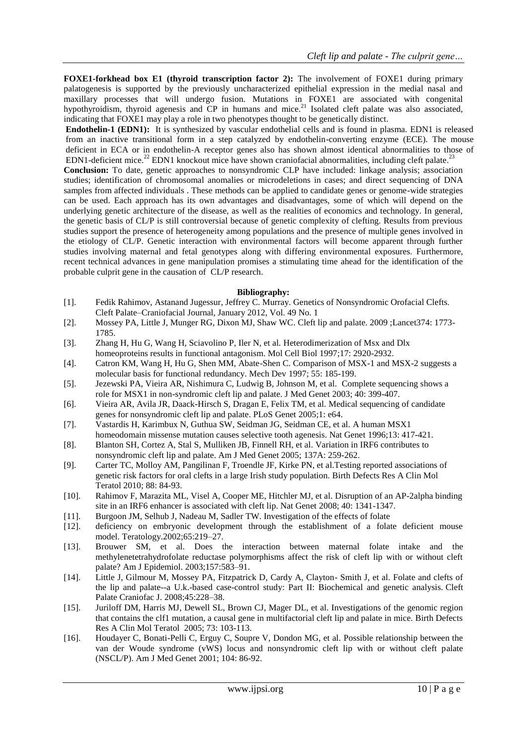**FOXE1-forkhead box E1 (thyroid transcription factor 2):** The involvement of FOXE1 during primary palatogenesis is supported by the previously uncharacterized epithelial expression in the medial nasal and maxillary processes that will undergo fusion. Mutations in FOXE1 are associated with congenital hypothyroidism, thyroid agenesis and CP in humans and mice.<sup>21</sup> Isolated cleft palate was also associated, indicating that FOXE1 may play a role in two phenotypes thought to be genetically distinct.

**Endothelin-1 (EDN1):** It is synthesized by vascular endothelial cells and is found in plasma. EDN1 is released from an inactive transitional form in a step catalyzed by endothelin-converting enzyme (ECE). The mouse deficient in ECA or in endothelin-A receptor genes also has shown almost identical abnormalities to those of EDN1-deficient mice.<sup>22</sup> EDN1 knockout mice have shown craniofacial abnormalities, including cleft palate.<sup>23</sup> **Conclusion:** To date, genetic approaches to nonsyndromic CLP have included: linkage analysis; association studies; identification of chromosomal anomalies or microdeletions in cases; and direct sequencing of DNA samples from affected individuals . These methods can be applied to candidate genes or genome-wide strategies can be used. Each approach has its own advantages and disadvantages, some of which will depend on the underlying genetic architecture of the disease, as well as the realities of economics and technology. In general, the genetic basis of CL/P is still controversial because of genetic complexity of clefting. Results from previous studies support the presence of heterogeneity among populations and the presence of multiple genes involved in the etiology of CL/P. Genetic interaction with environmental factors will become apparent through further studies involving maternal and fetal genotypes along with differing environmental exposures. Furthermore, recent technical advances in gene manipulation promises a stimulating time ahead for the identification of the probable culprit gene in the causation of CL/P research.

## **Bibliography:**

- [1]. Fedik Rahimov, Astanand Jugessur, Jeffrey C. Murray. Genetics of Nonsyndromic Orofacial Clefts. Cleft Palate–Craniofacial Journal, January 2012, Vol. 49 No. 1
- [2]. Mossey PA, Little J, Munger RG, Dixon MJ, Shaw WC. [Cleft lip and palate. 2009 ;Lancet374: 1773-](http://www.ncbi.nlm.nih.gov/pubmed/19747722) [1785.](http://www.ncbi.nlm.nih.gov/pubmed/19747722)
- [3]. Zhang H, Hu G, Wang H, Sciavolino P, Iler N, et al. [Heterodimerization of Msx and Dlx](http://www.ncbi.nlm.nih.gov/pubmed/9111364)  [homeoproteins results in functional antagonism. Mol Cell Biol](http://www.ncbi.nlm.nih.gov/pubmed/9111364) 1997;17: 2920-2932.
- [4]. Catron KM, Wang H, Hu G, Shen MM, Abate-Shen C. [Comparison of MSX-1 and MSX-2 suggests a](http://www.ncbi.nlm.nih.gov/pubmed/8861098)  [molecular basis for functional redundancy. Mech Dev](http://www.ncbi.nlm.nih.gov/pubmed/8861098) 1997; 55: 185-199.
- [5]. Jezewski PA, Vieira AR, Nishimura C, Ludwig B, Johnson M, et al. [Complete sequencing shows a](http://www.ncbi.nlm.nih.gov/pubmed/12807959)  [role for MSX1 in non-syndromic cleft lip and palate. J Med Genet](http://www.ncbi.nlm.nih.gov/pubmed/12807959) 2003; 40: 399-407.
- [6]. Vieira AR, Avila JR, Daack-Hirsch S, Dragan E, Felix TM, et al. [Medical sequencing of candidate](http://www.ncbi.nlm.nih.gov/pubmed/16327884)  [genes for nonsyndromic cleft lip and palate. PLoS Genet](http://www.ncbi.nlm.nih.gov/pubmed/16327884) 2005;1: e64.
- [7]. Vastardis H, Karimbux N, Guthua SW, Seidman JG, Seidman CE, et al. [A human MSX1](http://www.ncbi.nlm.nih.gov/pubmed/8696335)
- [homeodomain missense mutation causes selective tooth agenesis. Nat Genet](http://www.ncbi.nlm.nih.gov/pubmed/8696335) 1996;13: 417-421. [8]. Blanton SH, Cortez A, Stal S, Mulliken JB, Finnell RH, et al. [Variation in IRF6 contributes to](http://www.ncbi.nlm.nih.gov/pubmed/16096995)  [nonsyndromic cleft lip and palate. Am J Med Genet 2005;](http://www.ncbi.nlm.nih.gov/pubmed/16096995) 137A: 259-262.
- [9]. Carter TC, Molloy AM, Pangilinan F, Troendle JF, Kirke PN, et a[l.Testing reported associations of](http://www.ncbi.nlm.nih.gov/pubmed/19937600)  [genetic risk factors for oral clefts in a large Irish study population. Birth Defects Res A Clin Mol](http://www.ncbi.nlm.nih.gov/pubmed/19937600)  [Teratol 2010; 88: 84-93.](http://www.ncbi.nlm.nih.gov/pubmed/19937600)
- [10]. Rahimov F, Marazita ML, Visel A, Cooper ME, Hitchler MJ, et al. [Disruption of an AP-2alpha binding](http://www.ncbi.nlm.nih.gov/pubmed/18836445)  [site in an IRF6 enhancer is associated with cleft lip. Nat Genet](http://www.ncbi.nlm.nih.gov/pubmed/18836445) 2008; 40: 1341-1347.
- [11]. Burgoon JM, Selhub J, Nadeau M, Sadler TW. Investigation of the effects of folate
- [12]. deficiency on embryonic development through the establishment of a folate deficient mouse model. Teratology.2002;65:219–27.
- [13]. Brouwer SM, et al. Does the interaction between maternal folate intake and the methylenetetrahydrofolate reductase polymorphisms affect the risk of cleft lip with or without cleft palate? Am J Epidemiol. 2003;157:583–91.
- [14]. Little J, Gilmour M, Mossey PA, Fitzpatrick D, Cardy A, Clayton- Smith J, et al. Folate and clefts of the lip and palate--a U.k.-based case-control study: Part II: Biochemical and genetic analysis. Cleft Palate Craniofac J. 2008;45:228–38.
- [15]. Juriloff DM, Harris MJ, Dewell SL, Brown CJ, Mager DL, et al. [Investigations of the genomic region](http://www.ncbi.nlm.nih.gov/pubmed/15690355)  [that contains the clf1 mutation, a causal gene in multifactorial cleft lip and palate in mice. Birth Defects](http://www.ncbi.nlm.nih.gov/pubmed/15690355)  [Res A Clin Mol Teratol 2005; 73: 103-113.](http://www.ncbi.nlm.nih.gov/pubmed/15690355)
- [16]. Houdayer C, Bonati-Pelli C, Erguy C, Soupre V, Dondon MG, et al. [Possible relationship between the](http://www.ncbi.nlm.nih.gov/pubmed/11746036)  [van der Woude syndrome \(vWS\) locus and nonsyndromic cleft lip with or without cleft palate](http://www.ncbi.nlm.nih.gov/pubmed/11746036)  [\(NSCL/P\). Am J Med Genet 2001; 104: 86-92.](http://www.ncbi.nlm.nih.gov/pubmed/11746036)